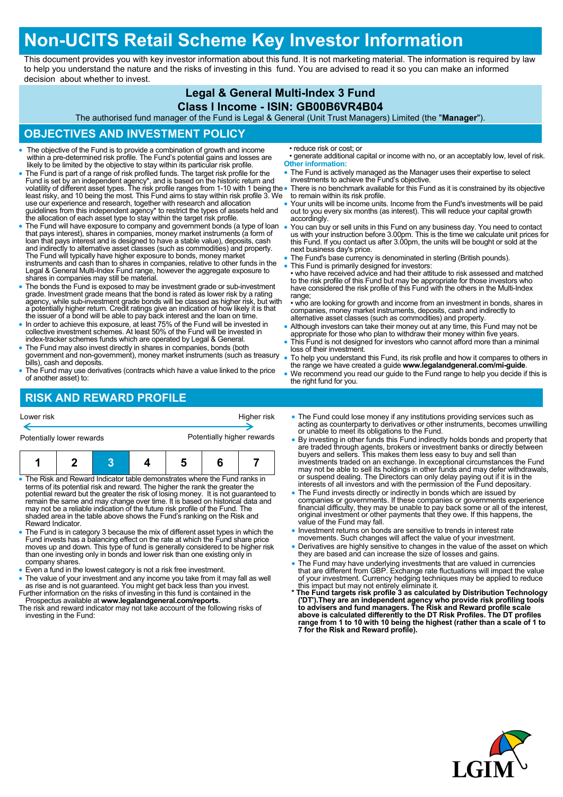# **Non-UCITS Retail Scheme Key Investor Information**

This document provides you with key investor information about this fund. It is not marketing material. The information is required by law to help you understand the nature and the risks of investing in this fund. You are advised to read it so you can make an informed decision about whether to invest.

### **Legal & General Multi-Index 3 Fund**

#### **Class I Income - ISIN: GB00B6VR4B04**

The authorised fund manager of the Fund is Legal & General (Unit Trust Managers) Limited (the "**Manager**").

## **OBJECTIVES AND INVESTMENT POLICY**

- The objective of the Fund is to provide a combination of growth and income within a pre-determined risk profile. The Fund's potential gains and losses are likely to be limited by the objective to stay within its particular risk profile.
- The Fund is part of a range of risk profiled funds. The target risk profile for the Fund is set by an independent agency\*, and is based on the historic return and<br>volatility of different asset types. The risk profile ranges from 1-10 with 1 being the<br>least risky, and 10 being the most. This Fund aims to s use our experience and research, together with research and allocation guidelines from this independent agency\* to restrict the types of assets held and the allocation of each asset type to stay within the target risk profile.
- The Fund will have exposure to company and government bonds (a type of loan that pays interest), shares in companies, money market instruments (a form of loan that pays interest and is designed to have a stable value), deposits, cash and indirectly to alternative asset classes (such as commodities) and property.<br>The Fund will typically have higher exposure to bonds, money market<br>instruments and cash than to shares in companies, relative to other funds Legal & General Multi-Index Fund range, however the aggregate exposure to shares in companies may still be material.
- The bonds the Fund is exposed to may be investment grade or sub-investment grade. Investment grade means that the bond is rated as lower risk by a rating agency, while sub-investment grade bonds will be classed as higher risk, but with a potentially higher return. Credit ratings give an indication of how likely it is that the issuer of a bond will be able to pay back interest and the loan on time.
- In order to achieve this exposure, at least 75% of the Fund will be invested in collective investment schemes. At least 50% of the Fund will be invested in index-tracker schemes funds which are operated by Legal & General.
- The Fund may also invest directly in shares in companies, bonds (both government and non-government), money market instruments (such as treasury bills), cash and deposits.
- The Fund may use derivatives (contracts which have a value linked to the price of another asset) to:

• reduce risk or cost; or

- generate additional capital or income with no, or an acceptably low, level of risk. **Other information:**
- The Fund is actively managed as the Manager uses their expertise to select investments to achieve the Fund's objective.
- There is no benchmark available for this Fund as it is constrained by its objective to remain within its risk profile.
- Your units will be income units. Income from the Fund's investments will be paid out to you every six months (as interest). This will reduce your capital growth accordingly.
- You can buy or sell units in this Fund on any business day. You need to contact us with your instruction before 3.00pm. This is the time we calculate unit prices for this Fund. If you contact us after 3.00pm, the units will be bought or sold at the next business day's price.
- The Fund's base currency is denominated in sterling (British pounds).
- This Fund is primarily designed for investors: • who have received advice and had their attitude to risk assessed and matched to the risk profile of this Fund but may be appropriate for those investors who have considered the risk profile of this Fund with the others in the Multi-Index range;
- who are looking for growth and income from an investment in bonds, shares in companies, money market instruments, deposits, cash and indirectly to alternative asset classes (such as commodities) and property.
- Although investors can take their money out at any time, this Fund may not be appropriate for those who plan to withdraw their money within five years.
- This Fund is not designed for investors who cannot afford more than a minimal loss of their investment.
- To help you understand this Fund, its risk profile and how it compares to others in the range we have created a guide **www.legalandgeneral.com/mi-guide**.
- We recommend you read our guide to the Fund range to help you decide if this is the right fund for you.

## **RISK AND REWARD PROFILE**

| Lower risk<br>Higher risk<br>Potentially higher rewards<br>Potentially lower rewards |  |  |  |  |  | • The Fund could lose money if any institutions providing services such as<br>acting as counterparty to derivatives or other instruments, becomes unwilling<br>or unable to meet its obligations to the Fund.<br>• By investing in other funds this Fund indirectly holds bonds and property that |  |
|--------------------------------------------------------------------------------------|--|--|--|--|--|---------------------------------------------------------------------------------------------------------------------------------------------------------------------------------------------------------------------------------------------------------------------------------------------------|--|
|                                                                                      |  |  |  |  |  |                                                                                                                                                                                                                                                                                                   |  |
| • The Risk and Reward Indicator table demonstrates where the Fund ranks in           |  |  |  |  |  | or suspend dealing. The Directors can only delay paying out if it is in the                                                                                                                                                                                                                       |  |
| terms of its potential risk and reward. The higher the rank the greater the          |  |  |  |  |  | interests of all investors and with the permission of the Fund depositary.                                                                                                                                                                                                                        |  |
| potential reward but the greater the risk of losing money. It is not quaranteed to   |  |  |  |  |  | • The Fund invests directly or indirectly in bonds which are issued by                                                                                                                                                                                                                            |  |
| remain the same and may change over time. It is based on historical data and         |  |  |  |  |  | companies or governments. If these companies or governments experience                                                                                                                                                                                                                            |  |
| may not be a reliable indication of the future risk profile of the Fund. The         |  |  |  |  |  | financial difficulty, they may be unable to pay back some or all of the interest,                                                                                                                                                                                                                 |  |
| shaded area in the table above shows the Fund's ranking on the Risk and              |  |  |  |  |  | original investment or other payments that they owe. If this happens, the                                                                                                                                                                                                                         |  |
| Reward Indicator.                                                                    |  |  |  |  |  | value of the Fund may fall.                                                                                                                                                                                                                                                                       |  |
| • The Fund is in category 3 because the mix of different asset types in which the    |  |  |  |  |  | • Investment returns on bonds are sensitive to trends in interest rate                                                                                                                                                                                                                            |  |
| Fund invests has a balancing effect on the rate at which the Fund share price        |  |  |  |  |  | movements. Such changes will affect the value of your investment.                                                                                                                                                                                                                                 |  |
| moves up and down. This type of fund is generally considered to be higher risk       |  |  |  |  |  | • Derivatives are highly sensitive to changes in the value of the asset on which                                                                                                                                                                                                                  |  |
| than ano invosting only in bonds and lower risk than ano ovieting only in            |  |  |  |  |  | they are has a bond can increase the size of losses and gains                                                                                                                                                                                                                                     |  |

- han one investing only in bonds and lower risk than one existing only in company shares.
- Even a fund in the lowest category is not a risk free investment.
- The value of your investment and any income you take from it may fall as well as rise and is not guaranteed. You might get back less than you invest. Further information on the risks of investing in this fund is contained in the
- Prospectus available at **www.legalandgeneral.com/reports**. The risk and reward indicator may not take account of the following risks of investing in the Fund:
- 
- 
- they are based and can increase the size of losses and gains.
- The Fund may have underlying investments that are valued in currencies that are different from GBP. Exchange rate fluctuations will impact the value of your investment. Currency hedging techniques may be applied to reduce
- this impact but may not entirely eliminate it. **\* The Fund targets risk profile 3 as calculated by Distribution Technology**  ('DT').They are an independent agency who provide risk profiling tools<br>to advisers and fund managers. The Risk and Reward profile scale<br>above is calculated differently to the DT Risk Profiles. The DT profiles **range from 1 to 10 with 10 being the highest (rather than a scale of 1 to 7 for the Risk and Reward profile).**